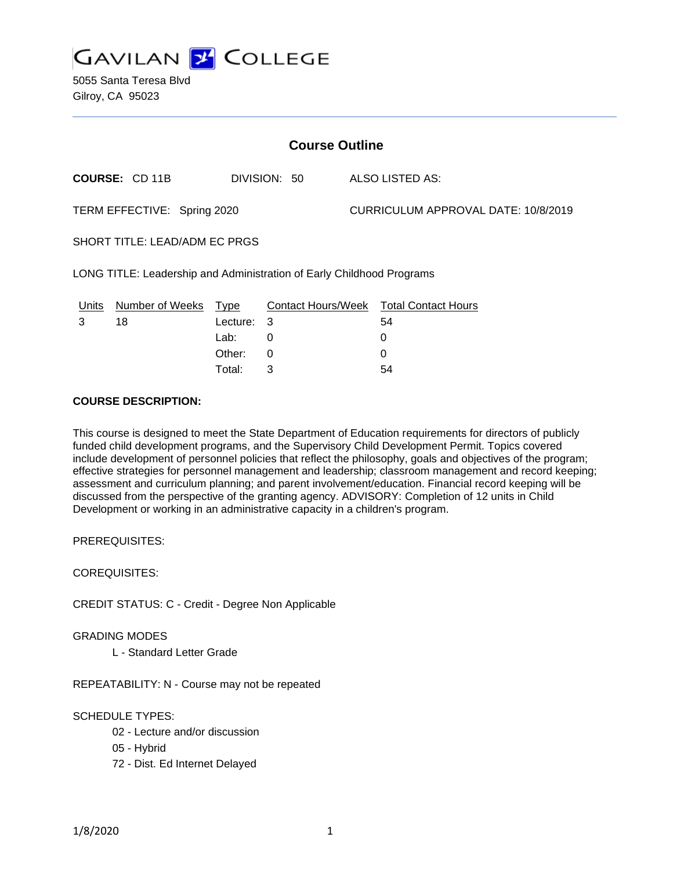

5055 Santa Teresa Blvd Gilroy, CA 95023

| <b>Course Outline</b>                                                 |                       |          |              |  |                                        |  |
|-----------------------------------------------------------------------|-----------------------|----------|--------------|--|----------------------------------------|--|
|                                                                       | <b>COURSE: CD 11B</b> |          | DIVISION: 50 |  | ALSO LISTED AS:                        |  |
| TERM EFFECTIVE: Spring 2020                                           |                       |          |              |  | CURRICULUM APPROVAL DATE: 10/8/2019    |  |
| SHORT TITLE: LEAD/ADM EC PRGS                                         |                       |          |              |  |                                        |  |
| LONG TITLE: Leadership and Administration of Early Childhood Programs |                       |          |              |  |                                        |  |
| Units                                                                 | Number of Weeks       | Type     |              |  | Contact Hours/Week Total Contact Hours |  |
| 3                                                                     | 18                    | Lecture: | 3            |  | 54                                     |  |
|                                                                       |                       | Lab:     | 0            |  | 0                                      |  |
|                                                                       |                       | Other:   | 0            |  | 0                                      |  |

Total: 3 54

# **COURSE DESCRIPTION:**

This course is designed to meet the State Department of Education requirements for directors of publicly funded child development programs, and the Supervisory Child Development Permit. Topics covered include development of personnel policies that reflect the philosophy, goals and objectives of the program; effective strategies for personnel management and leadership; classroom management and record keeping; assessment and curriculum planning; and parent involvement/education. Financial record keeping will be discussed from the perspective of the granting agency. ADVISORY: Completion of 12 units in Child Development or working in an administrative capacity in a children's program.

PREREQUISITES:

COREQUISITES:

CREDIT STATUS: C - Credit - Degree Non Applicable

GRADING MODES

L - Standard Letter Grade

REPEATABILITY: N - Course may not be repeated

#### SCHEDULE TYPES:

- 02 Lecture and/or discussion
- 05 Hybrid
- 72 Dist. Ed Internet Delayed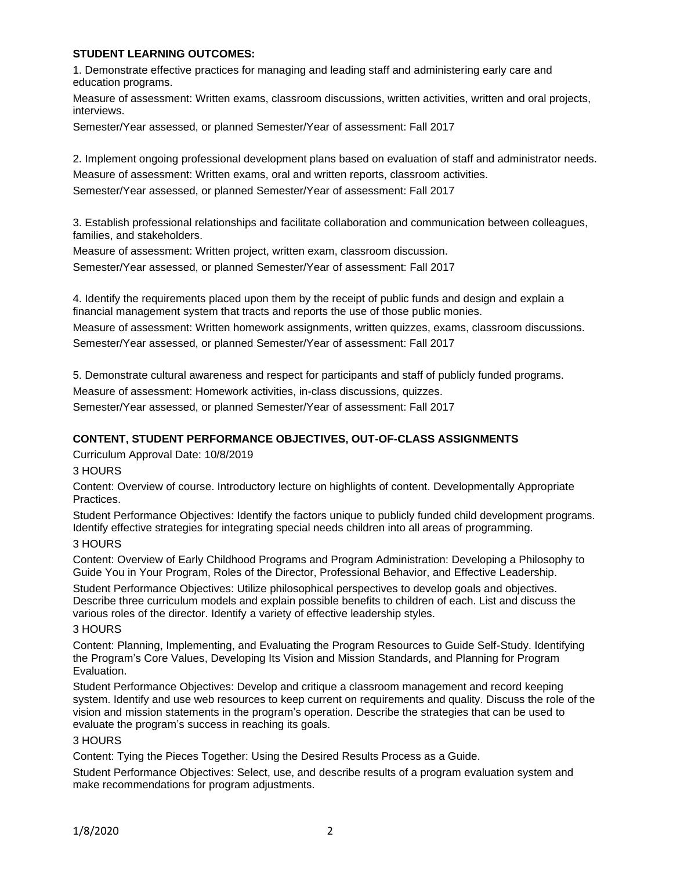## **STUDENT LEARNING OUTCOMES:**

1. Demonstrate effective practices for managing and leading staff and administering early care and education programs.

Measure of assessment: Written exams, classroom discussions, written activities, written and oral projects, interviews.

Semester/Year assessed, or planned Semester/Year of assessment: Fall 2017

2. Implement ongoing professional development plans based on evaluation of staff and administrator needs. Measure of assessment: Written exams, oral and written reports, classroom activities. Semester/Year assessed, or planned Semester/Year of assessment: Fall 2017

3. Establish professional relationships and facilitate collaboration and communication between colleagues, families, and stakeholders.

Measure of assessment: Written project, written exam, classroom discussion. Semester/Year assessed, or planned Semester/Year of assessment: Fall 2017

4. Identify the requirements placed upon them by the receipt of public funds and design and explain a financial management system that tracts and reports the use of those public monies. Measure of assessment: Written homework assignments, written quizzes, exams, classroom discussions. Semester/Year assessed, or planned Semester/Year of assessment: Fall 2017

5. Demonstrate cultural awareness and respect for participants and staff of publicly funded programs. Measure of assessment: Homework activities, in-class discussions, quizzes.

Semester/Year assessed, or planned Semester/Year of assessment: Fall 2017

# **CONTENT, STUDENT PERFORMANCE OBJECTIVES, OUT-OF-CLASS ASSIGNMENTS**

Curriculum Approval Date: 10/8/2019

3 HOURS

Content: Overview of course. Introductory lecture on highlights of content. Developmentally Appropriate Practices.

Student Performance Objectives: Identify the factors unique to publicly funded child development programs. Identify effective strategies for integrating special needs children into all areas of programming.

# 3 HOURS

Content: Overview of Early Childhood Programs and Program Administration: Developing a Philosophy to Guide You in Your Program, Roles of the Director, Professional Behavior, and Effective Leadership.

Student Performance Objectives: Utilize philosophical perspectives to develop goals and objectives. Describe three curriculum models and explain possible benefits to children of each. List and discuss the various roles of the director. Identify a variety of effective leadership styles.

#### 3 HOURS

Content: Planning, Implementing, and Evaluating the Program Resources to Guide Self-Study. Identifying the Program's Core Values, Developing Its Vision and Mission Standards, and Planning for Program Evaluation.

Student Performance Objectives: Develop and critique a classroom management and record keeping system. Identify and use web resources to keep current on requirements and quality. Discuss the role of the vision and mission statements in the program's operation. Describe the strategies that can be used to evaluate the program's success in reaching its goals.

#### 3 HOURS

Content: Tying the Pieces Together: Using the Desired Results Process as a Guide.

Student Performance Objectives: Select, use, and describe results of a program evaluation system and make recommendations for program adjustments.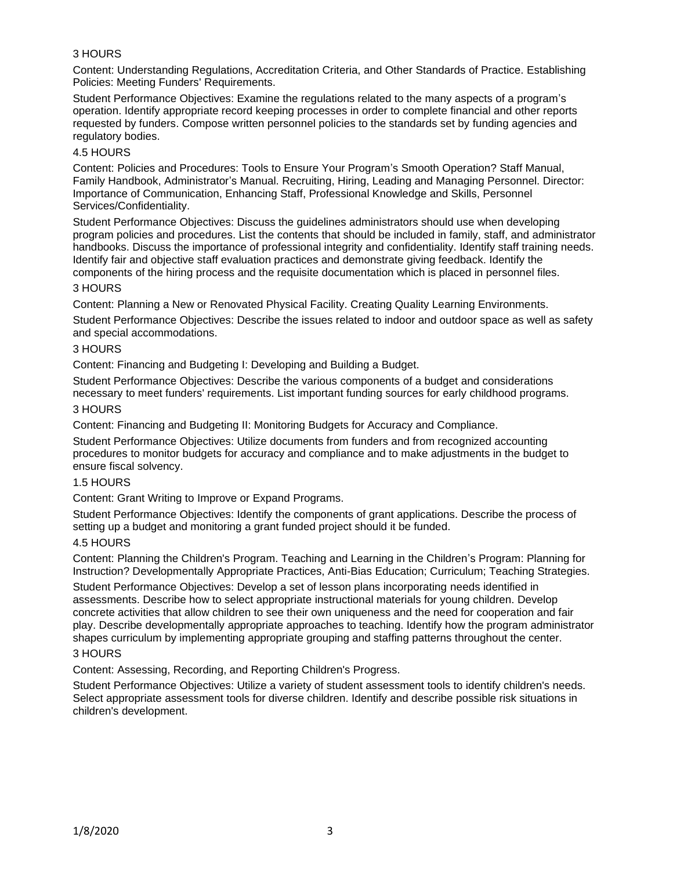# 3 HOURS

Content: Understanding Regulations, Accreditation Criteria, and Other Standards of Practice. Establishing Policies: Meeting Funders' Requirements.

Student Performance Objectives: Examine the regulations related to the many aspects of a program's operation. Identify appropriate record keeping processes in order to complete financial and other reports requested by funders. Compose written personnel policies to the standards set by funding agencies and regulatory bodies.

### 4.5 HOURS

Content: Policies and Procedures: Tools to Ensure Your Program's Smooth Operation? Staff Manual, Family Handbook, Administrator's Manual. Recruiting, Hiring, Leading and Managing Personnel. Director: Importance of Communication, Enhancing Staff, Professional Knowledge and Skills, Personnel Services/Confidentiality.

Student Performance Objectives: Discuss the guidelines administrators should use when developing program policies and procedures. List the contents that should be included in family, staff, and administrator handbooks. Discuss the importance of professional integrity and confidentiality. Identify staff training needs. Identify fair and objective staff evaluation practices and demonstrate giving feedback. Identify the components of the hiring process and the requisite documentation which is placed in personnel files.

### 3 HOURS

Content: Planning a New or Renovated Physical Facility. Creating Quality Learning Environments.

Student Performance Objectives: Describe the issues related to indoor and outdoor space as well as safety and special accommodations.

### 3 HOURS

Content: Financing and Budgeting I: Developing and Building a Budget.

Student Performance Objectives: Describe the various components of a budget and considerations necessary to meet funders' requirements. List important funding sources for early childhood programs.

### 3 HOURS

Content: Financing and Budgeting II: Monitoring Budgets for Accuracy and Compliance.

Student Performance Objectives: Utilize documents from funders and from recognized accounting procedures to monitor budgets for accuracy and compliance and to make adjustments in the budget to ensure fiscal solvency.

#### 1.5 HOURS

Content: Grant Writing to Improve or Expand Programs.

Student Performance Objectives: Identify the components of grant applications. Describe the process of setting up a budget and monitoring a grant funded project should it be funded.

#### 4.5 HOURS

Content: Planning the Children's Program. Teaching and Learning in the Children's Program: Planning for Instruction? Developmentally Appropriate Practices, Anti-Bias Education; Curriculum; Teaching Strategies.

Student Performance Objectives: Develop a set of lesson plans incorporating needs identified in assessments. Describe how to select appropriate instructional materials for young children. Develop concrete activities that allow children to see their own uniqueness and the need for cooperation and fair play. Describe developmentally appropriate approaches to teaching. Identify how the program administrator shapes curriculum by implementing appropriate grouping and staffing patterns throughout the center.

# 3 HOURS

Content: Assessing, Recording, and Reporting Children's Progress.

Student Performance Objectives: Utilize a variety of student assessment tools to identify children's needs. Select appropriate assessment tools for diverse children. Identify and describe possible risk situations in children's development.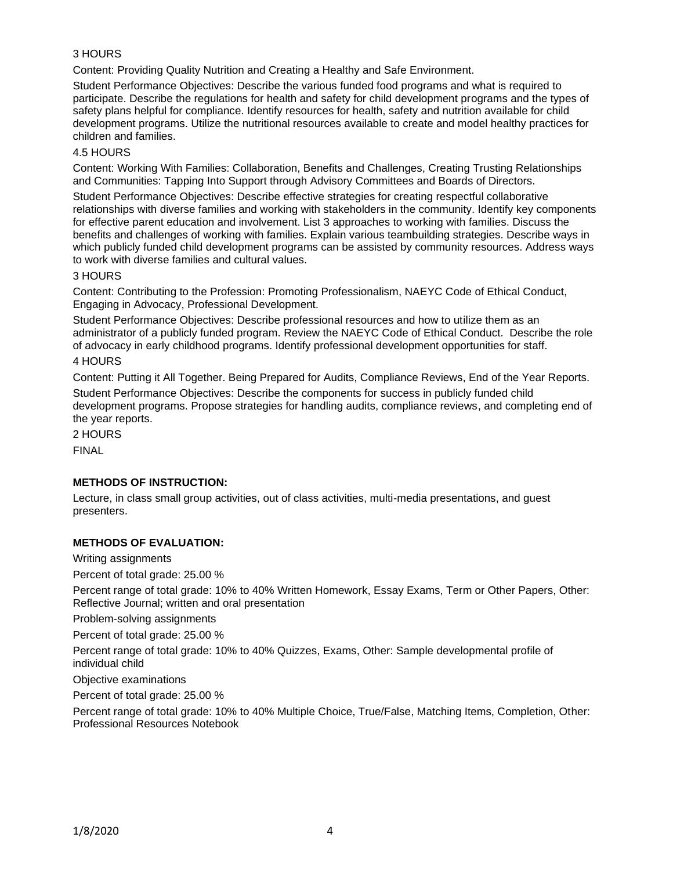# 3 HOURS

Content: Providing Quality Nutrition and Creating a Healthy and Safe Environment.

Student Performance Objectives: Describe the various funded food programs and what is required to participate. Describe the regulations for health and safety for child development programs and the types of safety plans helpful for compliance. Identify resources for health, safety and nutrition available for child development programs. Utilize the nutritional resources available to create and model healthy practices for children and families.

### 4.5 HOURS

Content: Working With Families: Collaboration, Benefits and Challenges, Creating Trusting Relationships and Communities: Tapping Into Support through Advisory Committees and Boards of Directors.

Student Performance Objectives: Describe effective strategies for creating respectful collaborative relationships with diverse families and working with stakeholders in the community. Identify key components for effective parent education and involvement. List 3 approaches to working with families. Discuss the benefits and challenges of working with families. Explain various teambuilding strategies. Describe ways in which publicly funded child development programs can be assisted by community resources. Address ways to work with diverse families and cultural values.

### 3 HOURS

Content: Contributing to the Profession: Promoting Professionalism, NAEYC Code of Ethical Conduct, Engaging in Advocacy, Professional Development.

Student Performance Objectives: Describe professional resources and how to utilize them as an administrator of a publicly funded program. Review the NAEYC Code of Ethical Conduct. Describe the role of advocacy in early childhood programs. Identify professional development opportunities for staff.

# 4 HOURS

Content: Putting it All Together. Being Prepared for Audits, Compliance Reviews, End of the Year Reports. Student Performance Objectives: Describe the components for success in publicly funded child development programs. Propose strategies for handling audits, compliance reviews, and completing end of the year reports.

2 HOURS

FINAL

### **METHODS OF INSTRUCTION:**

Lecture, in class small group activities, out of class activities, multi-media presentations, and guest presenters.

### **METHODS OF EVALUATION:**

Writing assignments

Percent of total grade: 25.00 %

Percent range of total grade: 10% to 40% Written Homework, Essay Exams, Term or Other Papers, Other: Reflective Journal; written and oral presentation

Problem-solving assignments

Percent of total grade: 25.00 %

Percent range of total grade: 10% to 40% Quizzes, Exams, Other: Sample developmental profile of individual child

Objective examinations

Percent of total grade: 25.00 %

Percent range of total grade: 10% to 40% Multiple Choice, True/False, Matching Items, Completion, Other: Professional Resources Notebook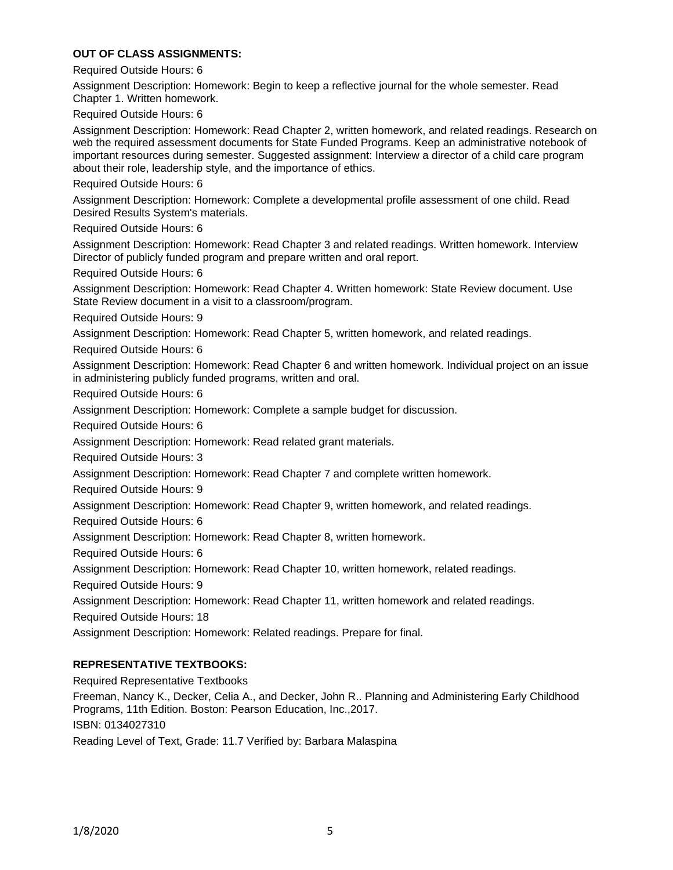### **OUT OF CLASS ASSIGNMENTS:**

Required Outside Hours: 6

Assignment Description: Homework: Begin to keep a reflective journal for the whole semester. Read Chapter 1. Written homework.

Required Outside Hours: 6

Assignment Description: Homework: Read Chapter 2, written homework, and related readings. Research on web the required assessment documents for State Funded Programs. Keep an administrative notebook of important resources during semester. Suggested assignment: Interview a director of a child care program about their role, leadership style, and the importance of ethics.

Required Outside Hours: 6

Assignment Description: Homework: Complete a developmental profile assessment of one child. Read Desired Results System's materials.

Required Outside Hours: 6

Assignment Description: Homework: Read Chapter 3 and related readings. Written homework. Interview Director of publicly funded program and prepare written and oral report.

Required Outside Hours: 6

Assignment Description: Homework: Read Chapter 4. Written homework: State Review document. Use State Review document in a visit to a classroom/program.

Required Outside Hours: 9

Assignment Description: Homework: Read Chapter 5, written homework, and related readings.

Required Outside Hours: 6

Assignment Description: Homework: Read Chapter 6 and written homework. Individual project on an issue in administering publicly funded programs, written and oral.

Required Outside Hours: 6

Assignment Description: Homework: Complete a sample budget for discussion.

Required Outside Hours: 6

Assignment Description: Homework: Read related grant materials.

Required Outside Hours: 3

Assignment Description: Homework: Read Chapter 7 and complete written homework.

Required Outside Hours: 9

Assignment Description: Homework: Read Chapter 9, written homework, and related readings.

Required Outside Hours: 6

Assignment Description: Homework: Read Chapter 8, written homework.

Required Outside Hours: 6

Assignment Description: Homework: Read Chapter 10, written homework, related readings.

Required Outside Hours: 9

Assignment Description: Homework: Read Chapter 11, written homework and related readings.

Required Outside Hours: 18

Assignment Description: Homework: Related readings. Prepare for final.

#### **REPRESENTATIVE TEXTBOOKS:**

Required Representative Textbooks

Freeman, Nancy K., Decker, Celia A., and Decker, John R.. Planning and Administering Early Childhood Programs, 11th Edition. Boston: Pearson Education, Inc.,2017.

ISBN: 0134027310

Reading Level of Text, Grade: 11.7 Verified by: Barbara Malaspina